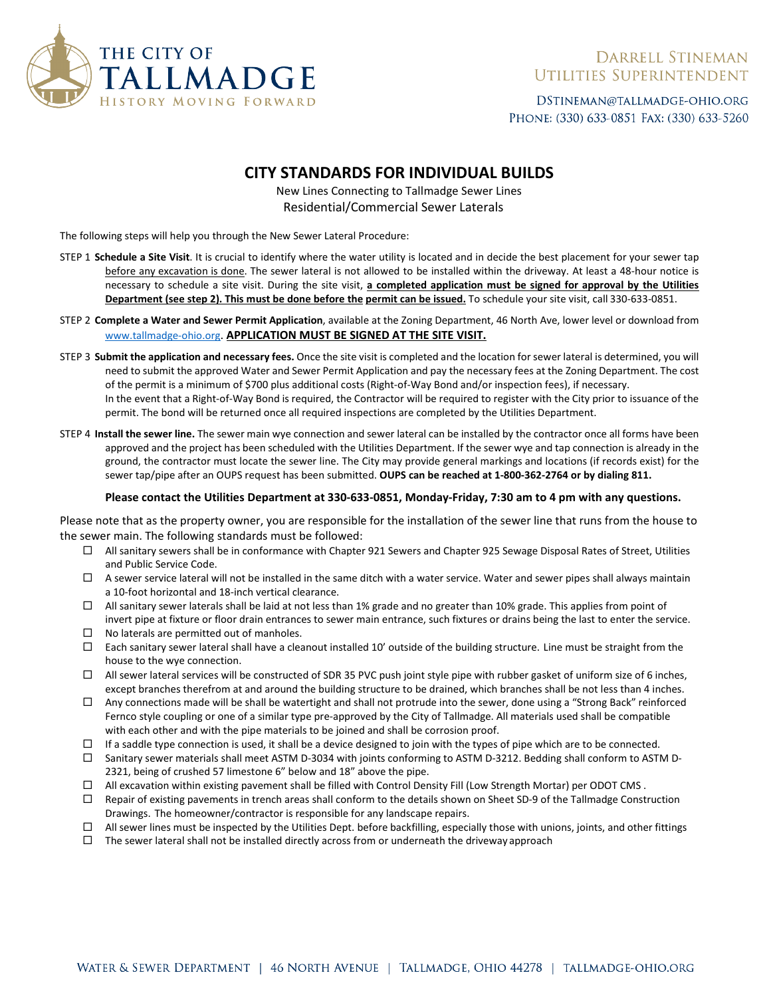

## **DARRELL STINEMAN** UTILITIES SUPERINTENDENT

DSTINEMAN@TALLMADGE-OHIO.ORG PHONE: (330) 633-0851 FAX: (330) 633-5260

## **CITY STANDARDS FOR INDIVIDUAL BUILDS**

### New Lines Connecting to Tallmadge Sewer Lines Residential/Commercial Sewer Laterals

The following steps will help you through the New Sewer Lateral Procedure:

- STEP 1 **Schedule a Site Visit**. It is crucial to identify where the water utility is located and in decide the best placement for your sewer tap before any excavation is done. The sewer lateral is not allowed to be installed within the driveway. At least a 48-hour notice is necessary to schedule a site visit. During the site visit, **a completed application must be signed for approval by the Utilities Department (see step 2). This must be done before the permit can be issued.** To schedule your site visit, call 330-633-0851.
- STEP 2 **Complete a Water and Sewer Permit Application**, available at the Zoning Department, 46 North Ave, lower level or download from [www.tallmadge-ohio.org.](http://www.tallmadge-ohio.org/) **APPLICATION MUST BE SIGNED AT THE SITE VISIT.**
- STEP 3 **Submit the application and necessary fees.** Once the site visit is completed and the location for sewer lateral is determined, you will need to submit the approved Water and Sewer Permit Application and pay the necessary fees at the Zoning Department. The cost of the permit is a minimum of \$700 plus additional costs (Right-of-Way Bond and/or inspection fees), if necessary. In the event that a Right-of-Way Bond is required, the Contractor will be required to register with the City prior to issuance of the permit. The bond will be returned once all required inspections are completed by the Utilities Department.
- STEP 4 **Install the sewer line.** The sewer main wye connection and sewer lateral can be installed by the contractor once all forms have been approved and the project has been scheduled with the Utilities Department. If the sewer wye and tap connection is already in the ground, the contractor must locate the sewer line. The City may provide general markings and locations (if records exist) for the sewer tap/pipe after an OUPS request has been submitted. **OUPS can be reached at 1-800-362-2764 or by dialing 811.**

#### **Please contact the Utilities Department at 330-633-0851, Monday-Friday, 7:30 am to 4 pm with any questions.**

Please note that as the property owner, you are responsible for the installation of the sewer line that runs from the house to the sewer main. The following standards must be followed:

- $\Box$  All sanitary sewers shall be in conformance with Chapter 921 Sewers and Chapter 925 Sewage Disposal Rates of Street, Utilities and Public Service Code.
- $\Box$  A sewer service lateral will not be installed in the same ditch with a water service. Water and sewer pipes shall always maintain a 10-foot horizontal and 18-inch vertical clearance.
- All sanitary sewer laterals shall be laid at not less than 1% grade and no greater than 10% grade. This applies from point of invert pipe at fixture or floor drain entrances to sewer main entrance, such fixtures or drains being the last to enter the service.
- $\Box$  No laterals are permitted out of manholes.
- $\Box$  Each sanitary sewer lateral shall have a cleanout installed 10' outside of the building structure. Line must be straight from the house to the wye connection.
- $\Box$  All sewer lateral services will be constructed of SDR 35 PVC push joint style pipe with rubber gasket of uniform size of 6 inches, except branches therefrom at and around the building structure to be drained, which branches shall be not less than 4 inches.
- $\Box$  Any connections made will be shall be watertight and shall not protrude into the sewer, done using a "Strong Back" reinforced Fernco style coupling or one of a similar type pre-approved by the City of Tallmadge. All materials used shall be compatible with each other and with the pipe materials to be joined and shall be corrosion proof.
- $\Box$  If a saddle type connection is used, it shall be a device designed to join with the types of pipe which are to be connected.
- $\Box$  Sanitary sewer materials shall meet ASTM D-3034 with joints conforming to ASTM D-3212. Bedding shall conform to ASTM D-2321, being of crushed 57 limestone 6" below and 18" above the pipe.
- All excavation within existing pavement shall be filled with Control Density Fill (Low Strength Mortar) per ODOT CMS .
- $\Box$  Repair of existing pavements in trench areas shall conform to the details shown on Sheet SD-9 of the Tallmadge Construction Drawings. The homeowner/contractor is responsible for any landscape repairs.
- $\Box$  All sewer lines must be inspected by the Utilities Dept. before backfilling, especially those with unions, joints, and other fittings
- $\Box$  The sewer lateral shall not be installed directly across from or underneath the driveway approach